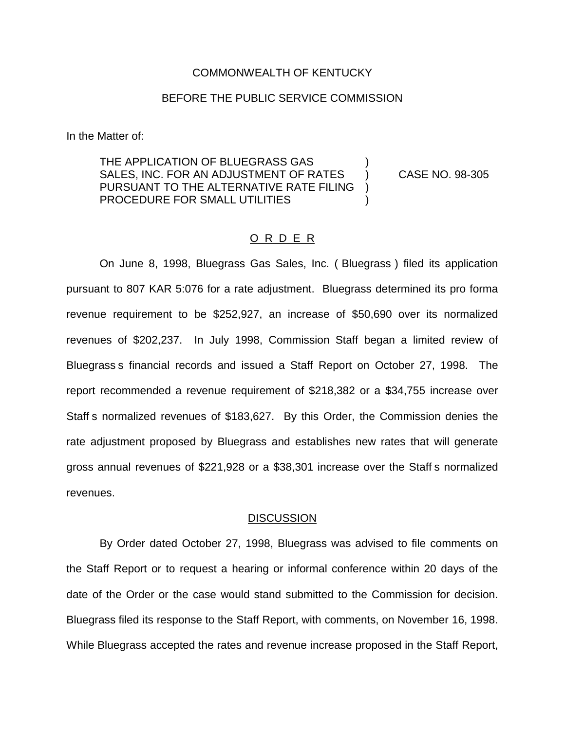#### COMMONWEALTH OF KENTUCKY

### BEFORE THE PUBLIC SERVICE COMMISSION

In the Matter of:

THE APPLICATION OF BLUEGRASS GAS SALES, INC. FOR AN ADJUSTMENT OF RATES (a) CASE NO. 98-305 PURSUANT TO THE ALTERNATIVE RATE FILING ) PROCEDURE FOR SMALL UTILITIES

## O R D E R

On June 8, 1998, Bluegrass Gas Sales, Inc. ( Bluegrass ) filed its application pursuant to 807 KAR 5:076 for a rate adjustment. Bluegrass determined its pro forma revenue requirement to be \$252,927, an increase of \$50,690 over its normalized revenues of \$202,237. In July 1998, Commission Staff began a limited review of Bluegrass s financial records and issued a Staff Report on October 27, 1998. The report recommended a revenue requirement of \$218,382 or a \$34,755 increase over Staff s normalized revenues of \$183,627. By this Order, the Commission denies the rate adjustment proposed by Bluegrass and establishes new rates that will generate gross annual revenues of \$221,928 or a \$38,301 increase over the Staff s normalized revenues.

#### **DISCUSSION**

By Order dated October 27, 1998, Bluegrass was advised to file comments on the Staff Report or to request a hearing or informal conference within 20 days of the date of the Order or the case would stand submitted to the Commission for decision. Bluegrass filed its response to the Staff Report, with comments, on November 16, 1998. While Bluegrass accepted the rates and revenue increase proposed in the Staff Report,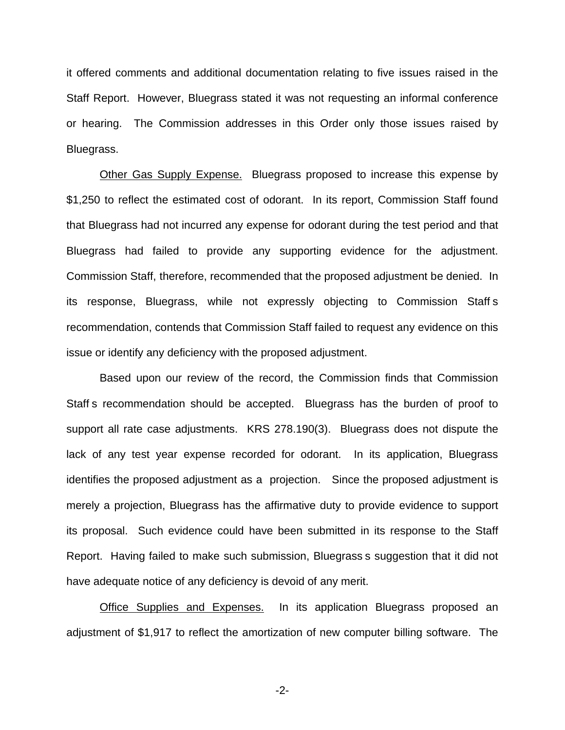it offered comments and additional documentation relating to five issues raised in the Staff Report. However, Bluegrass stated it was not requesting an informal conference or hearing. The Commission addresses in this Order only those issues raised by Bluegrass.

Other Gas Supply Expense. Bluegrass proposed to increase this expense by \$1,250 to reflect the estimated cost of odorant. In its report, Commission Staff found that Bluegrass had not incurred any expense for odorant during the test period and that Bluegrass had failed to provide any supporting evidence for the adjustment. Commission Staff, therefore, recommended that the proposed adjustment be denied. In its response, Bluegrass, while not expressly objecting to Commission Staff s recommendation, contends that Commission Staff failed to request any evidence on this issue or identify any deficiency with the proposed adjustment.

Based upon our review of the record, the Commission finds that Commission Staff s recommendation should be accepted. Bluegrass has the burden of proof to support all rate case adjustments. KRS 278.190(3). Bluegrass does not dispute the lack of any test year expense recorded for odorant. In its application, Bluegrass identifies the proposed adjustment as a projection. Since the proposed adjustment is merely a projection, Bluegrass has the affirmative duty to provide evidence to support its proposal. Such evidence could have been submitted in its response to the Staff Report. Having failed to make such submission, Bluegrass s suggestion that it did not have adequate notice of any deficiency is devoid of any merit.

Office Supplies and Expenses. In its application Bluegrass proposed an adjustment of \$1,917 to reflect the amortization of new computer billing software. The

-2-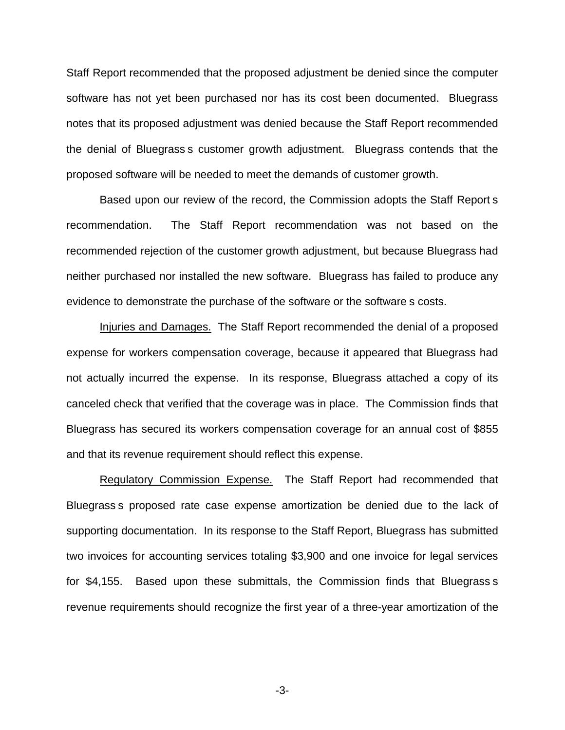Staff Report recommended that the proposed adjustment be denied since the computer software has not yet been purchased nor has its cost been documented. Bluegrass notes that its proposed adjustment was denied because the Staff Report recommended the denial of Bluegrass s customer growth adjustment. Bluegrass contends that the proposed software will be needed to meet the demands of customer growth.

Based upon our review of the record, the Commission adopts the Staff Report s recommendation. The Staff Report recommendation was not based on the recommended rejection of the customer growth adjustment, but because Bluegrass had neither purchased nor installed the new software. Bluegrass has failed to produce any evidence to demonstrate the purchase of the software or the software s costs.

Injuries and Damages. The Staff Report recommended the denial of a proposed expense for workers compensation coverage, because it appeared that Bluegrass had not actually incurred the expense. In its response, Bluegrass attached a copy of its canceled check that verified that the coverage was in place. The Commission finds that Bluegrass has secured its workers compensation coverage for an annual cost of \$855 and that its revenue requirement should reflect this expense.

Regulatory Commission Expense. The Staff Report had recommended that Bluegrass s proposed rate case expense amortization be denied due to the lack of supporting documentation. In its response to the Staff Report, Bluegrass has submitted two invoices for accounting services totaling \$3,900 and one invoice for legal services for \$4,155. Based upon these submittals, the Commission finds that Bluegrass s revenue requirements should recognize the first year of a three-year amortization of the

-3-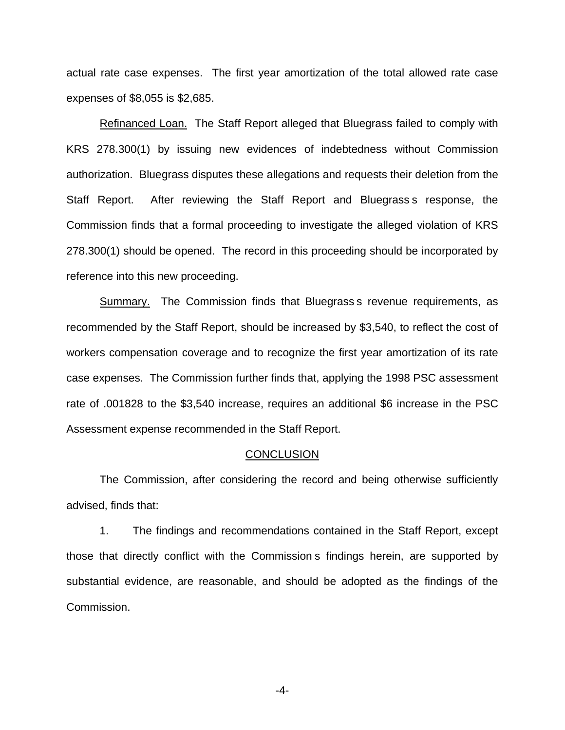actual rate case expenses. The first year amortization of the total allowed rate case expenses of \$8,055 is \$2,685.

Refinanced Loan. The Staff Report alleged that Bluegrass failed to comply with KRS 278.300(1) by issuing new evidences of indebtedness without Commission authorization. Bluegrass disputes these allegations and requests their deletion from the Staff Report. After reviewing the Staff Report and Bluegrass s response, the Commission finds that a formal proceeding to investigate the alleged violation of KRS 278.300(1) should be opened. The record in this proceeding should be incorporated by reference into this new proceeding.

Summary. The Commission finds that Bluegrass is revenue requirements, as recommended by the Staff Report, should be increased by \$3,540, to reflect the cost of workers compensation coverage and to recognize the first year amortization of its rate case expenses. The Commission further finds that, applying the 1998 PSC assessment rate of .001828 to the \$3,540 increase, requires an additional \$6 increase in the PSC Assessment expense recommended in the Staff Report.

### **CONCLUSION**

The Commission, after considering the record and being otherwise sufficiently advised, finds that:

1. The findings and recommendations contained in the Staff Report, except those that directly conflict with the Commission s findings herein, are supported by substantial evidence, are reasonable, and should be adopted as the findings of the Commission.

-4-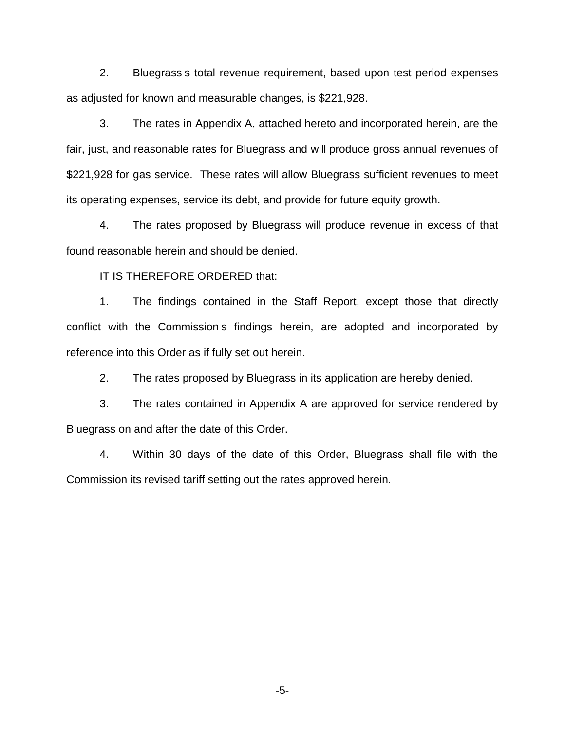2. Bluegrass s total revenue requirement, based upon test period expenses as adjusted for known and measurable changes, is \$221,928.

3. The rates in Appendix A, attached hereto and incorporated herein, are the fair, just, and reasonable rates for Bluegrass and will produce gross annual revenues of \$221,928 for gas service. These rates will allow Bluegrass sufficient revenues to meet its operating expenses, service its debt, and provide for future equity growth.

4. The rates proposed by Bluegrass will produce revenue in excess of that found reasonable herein and should be denied.

IT IS THEREFORE ORDERED that:

1. The findings contained in the Staff Report, except those that directly conflict with the Commission s findings herein, are adopted and incorporated by reference into this Order as if fully set out herein.

2. The rates proposed by Bluegrass in its application are hereby denied.

3. The rates contained in Appendix A are approved for service rendered by Bluegrass on and after the date of this Order.

4. Within 30 days of the date of this Order, Bluegrass shall file with the Commission its revised tariff setting out the rates approved herein.

-5-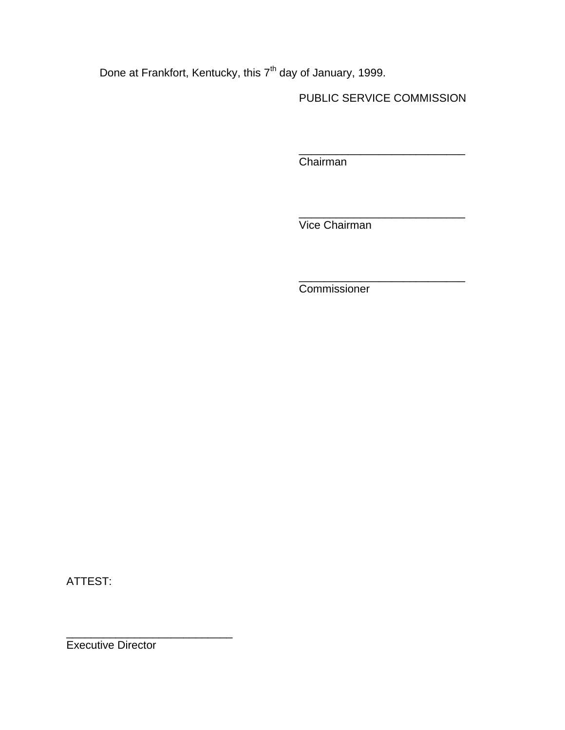Done at Frankfort, Kentucky, this 7<sup>th</sup> day of January, 1999.

PUBLIC SERVICE COMMISSION

\_\_\_\_\_\_\_\_\_\_\_\_\_\_\_\_\_\_\_\_\_\_\_\_\_\_\_

\_\_\_\_\_\_\_\_\_\_\_\_\_\_\_\_\_\_\_\_\_\_\_\_\_\_\_

\_\_\_\_\_\_\_\_\_\_\_\_\_\_\_\_\_\_\_\_\_\_\_\_\_\_\_

Chairman

Vice Chairman

Commissioner

ATTEST:

Executive Director

\_\_\_\_\_\_\_\_\_\_\_\_\_\_\_\_\_\_\_\_\_\_\_\_\_\_\_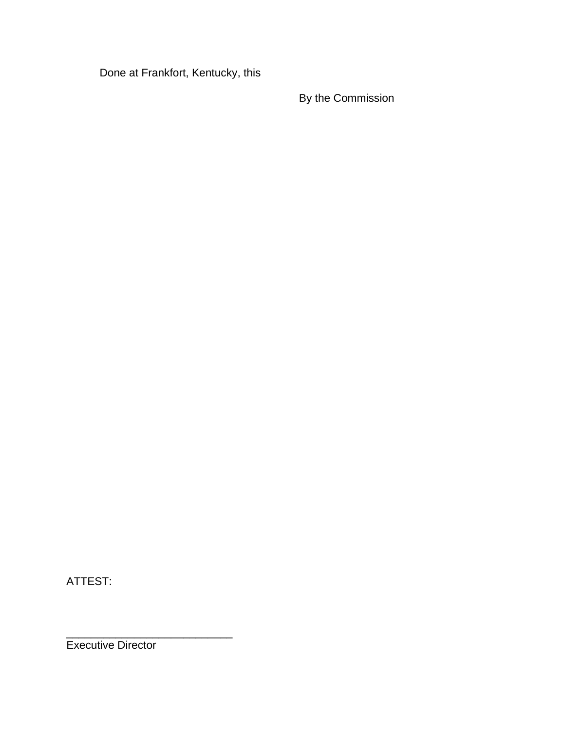Done at Frankfort, Kentucky, this

By the Commission

ATTEST:

Executive Director

\_\_\_\_\_\_\_\_\_\_\_\_\_\_\_\_\_\_\_\_\_\_\_\_\_\_\_